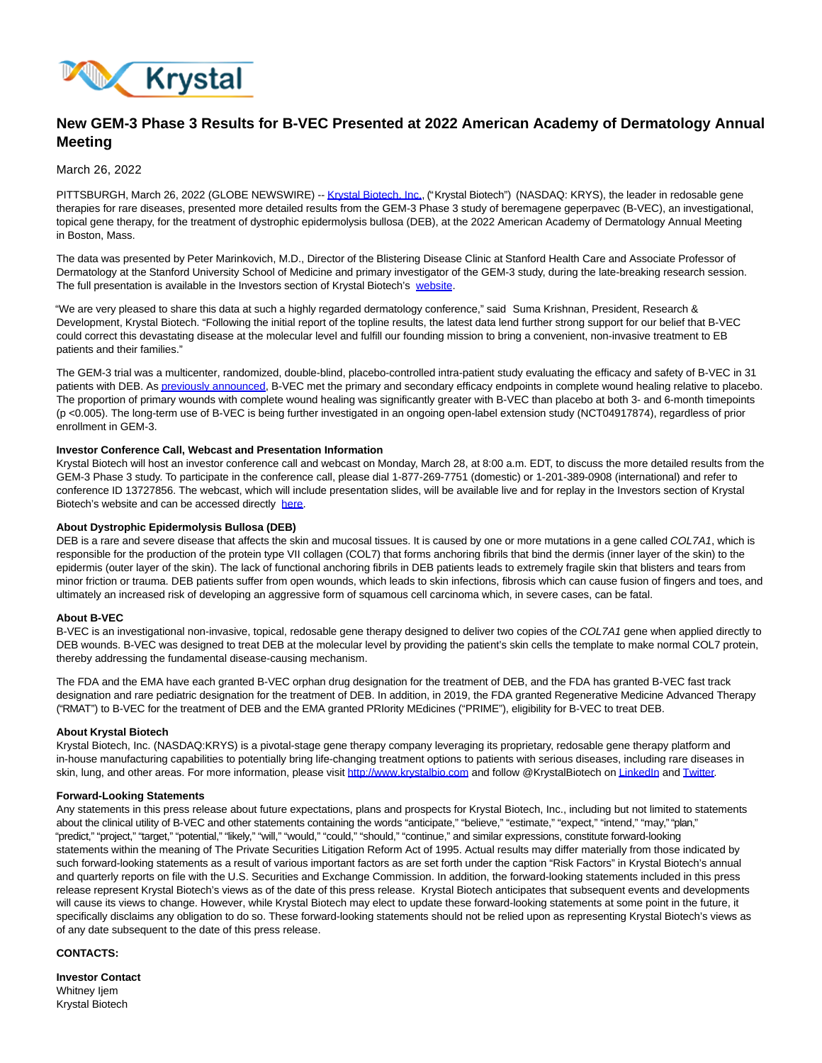

# **New GEM-3 Phase 3 Results for B-VEC Presented at 2022 American Academy of Dermatology Annual Meeting**

## March 26, 2022

PITTSBURGH, March 26, 2022 (GLOBE NEWSWIRE) -[- Krystal Biotech, Inc.](https://www.globenewswire.com/Tracker?data=RknhxYdlbJw8l_bpGlW5BBVQ0PvsRQLrklsVEJifyZpThwlQXwxOA3D5mngRiZxwaSV9WmFf6xYdWqWB_JSq46V2dotWGStxUNSSpLkwtAs=)[,](https://www.globenewswire.com/Tracker?data=nqaXyBzNV90mENhnWS5pR51G7kKBSAFg70w10oHrPZCwEGqX9M2Pxwg2Mxq0UywdLsYB98kN2FwqPXhb21jk_g==) ("Krystal Biotech") (NASDAQ: KRYS), the leader in redosable gene therapies for rare diseases, presented more detailed results from the GEM-3 Phase 3 study of beremagene geperpavec (B-VEC), an investigational, topical gene therapy, for the treatment of dystrophic epidermolysis bullosa (DEB), at the 2022 American Academy of Dermatology Annual Meeting in Boston, Mass.

The data was presented by Peter Marinkovich, M.D., Director of the Blistering Disease Clinic at Stanford Health Care and Associate Professor of Dermatology at the Stanford University School of Medicine and primary investigator of the GEM-3 study, during the late-breaking research session. The full presentation is available in the Investors section of Krystal Biotech's [website.](https://www.globenewswire.com/Tracker?data=pneCThVifUa_yZMY0j-RpgzebFUbe8AtRJEtigSL4VFMY3Mrbn6inhANzoZ_I7blQYfHileONoAq5BCMA1o9zTo2AiEFbb4kdb-rAlfxhDsK7FAEDSN9AYD1h_pBzbV8)

"We are very pleased to share this data at such a highly regarded dermatology conference," said Suma Krishnan, President, Research & Development, Krystal Biotech. "Following the initial report of the topline results, the latest data lend further strong support for our belief that B-VEC could correct this devastating disease at the molecular level and fulfill our founding mission to bring a convenient, non-invasive treatment to EB patients and their families."

The GEM-3 trial was a multicenter, randomized, double-blind, placebo-controlled intra-patient study evaluating the efficacy and safety of B-VEC in 31 patients with DEB. A[s previously announced,](https://www.globenewswire.com/Tracker?data=CmoNShnhg3CY5Zl_11c5nIQFDlFyJjAgE4mpaNvlP4mKcohez-jQ6_DsMBq8Owpj2HL7kmW0FhL9anhbX0PTvI2f6i7-wPAIvnVAZ97R9iGXDBEl-s10TGsN2VcUXsBQyHeCbEivb4EEe7kRe5SKMHe8DH-a7Je4IR7qQWoiGPd4oaPG0u3W0CAgP2sjMAZ4Dbzd19xPp-31ZcCw8NOw8JqN1V7kHKNHOt_5RR08WSo=) B-VEC met the primary and secondary efficacy endpoints in complete wound healing relative to placebo. The proportion of primary wounds with complete wound healing was significantly greater with B-VEC than placebo at both 3- and 6-month timepoints (p <0.005). The long-term use of B-VEC is being further investigated in an ongoing open-label extension study (NCT04917874), regardless of prior enrollment in GEM-3.

## **Investor Conference Call, Webcast and Presentation Information**

Krystal Biotech will host an investor conference call and webcast on Monday, March 28, at 8:00 a.m. EDT, to discuss the more detailed results from the GEM-3 Phase 3 study. To participate in the conference call, please dial 1-877-269-7751 (domestic) or 1-201-389-0908 (international) and refer to conference ID 13727856. The webcast, which will include presentation slides, will be available live and for replay in the Investors section of Krystal Biotech's website and can be accessed directly [here.](https://www.globenewswire.com/Tracker?data=t2qMFfoZgsT2Oct8cHNMSG6dpw5Vpqy5EjOVnykHaHjmAYI1MhE7N5Ovwgye_NgWEj9KeDimxplkuIUWx-xVZOvtxlswQj3YnI7qLQXhgfis6IB7A37PKxRrbITF8HDB)

## **About Dystrophic Epidermolysis Bullosa (DEB)**

DEB is a rare and severe disease that affects the skin and mucosal tissues. It is caused by one or more mutations in a gene called COL7A1, which is responsible for the production of the protein type VII collagen (COL7) that forms anchoring fibrils that bind the dermis (inner layer of the skin) to the epidermis (outer layer of the skin). The lack of functional anchoring fibrils in DEB patients leads to extremely fragile skin that blisters and tears from minor friction or trauma. DEB patients suffer from open wounds, which leads to skin infections, fibrosis which can cause fusion of fingers and toes, and ultimately an increased risk of developing an aggressive form of squamous cell carcinoma which, in severe cases, can be fatal.

#### **About B-VEC**

B-VEC is an investigational non-invasive, topical, redosable gene therapy designed to deliver two copies of the COL7A1 gene when applied directly to DEB wounds. B-VEC was designed to treat DEB at the molecular level by providing the patient's skin cells the template to make normal COL7 protein, thereby addressing the fundamental disease-causing mechanism.

The FDA and the EMA have each granted B-VEC orphan drug designation for the treatment of DEB, and the FDA has granted B-VEC fast track designation and rare pediatric designation for the treatment of DEB. In addition, in 2019, the FDA granted Regenerative Medicine Advanced Therapy ("RMAT") to B-VEC for the treatment of DEB and the EMA granted PRIority MEdicines ("PRIME"), eligibility for B-VEC to treat DEB.

## **About Krystal Biotech**

Krystal Biotech, Inc. (NASDAQ:KRYS) is a pivotal-stage gene therapy company leveraging its proprietary, redosable gene therapy platform and in-house manufacturing capabilities to potentially bring life-changing treatment options to patients with serious diseases, including rare diseases in skin, lung, and other areas. For more information, please visi[t http://www.krystalbio.com a](https://www.globenewswire.com/Tracker?data=24eRl7KkwETD57A3nu-yAOWep95T8OdWbMi2tHdHC-0vETdKn_N4NRFXBf_IZDW_QWYA_fIMIw2zMPvDX3P6ORwbNsS3z2diaP4WR-81Z40=)nd follow @KrystalBiotech o[n LinkedIn a](https://www.globenewswire.com/Tracker?data=xMgdAi7btsD18BAcpVP3p54nR5vq9PY7Dr9KAzBnKFkPx19E7FR32E6iHgfmmuFIx5VQYngCDtQMqF0c9C01UqqtuM5nXJbqEzy-tJKo0BcXOuBtZ48f2PEKtBM3zISU)nd [Twitter.](https://www.globenewswire.com/Tracker?data=7ZkXQm4OZruxCMIVI8gsNgaYHe7eiUJEkWkdTJpIRVQJQaTYCAD-5xpksYMicimB2zxfrtcT2_j2jM1buir-Og==)

#### **Forward-Looking Statements**

Any statements in this press release about future expectations, plans and prospects for Krystal Biotech, Inc., including but not limited to statements about the clinical utility of B-VEC and other statements containing the words "anticipate," "believe," "estimate," "expect," "intend," "may," "plan," "predict," "project," "target," "potential," "likely," "will," "would," "could," "should," "continue," and similar expressions, constitute forward-looking statements within the meaning of The Private Securities Litigation Reform Act of 1995. Actual results may differ materially from those indicated by such forward-looking statements as a result of various important factors as are set forth under the caption "Risk Factors" in Krystal Biotech's annual and quarterly reports on file with the U.S. Securities and Exchange Commission. In addition, the forward-looking statements included in this press release represent Krystal Biotech's views as of the date of this press release. Krystal Biotech anticipates that subsequent events and developments will cause its views to change. However, while Krystal Biotech may elect to update these forward-looking statements at some point in the future, it specifically disclaims any obligation to do so. These forward-looking statements should not be relied upon as representing Krystal Biotech's views as of any date subsequent to the date of this press release.

**CONTACTS:**

**Investor Contact** Whitney Ijem Krystal Biotech